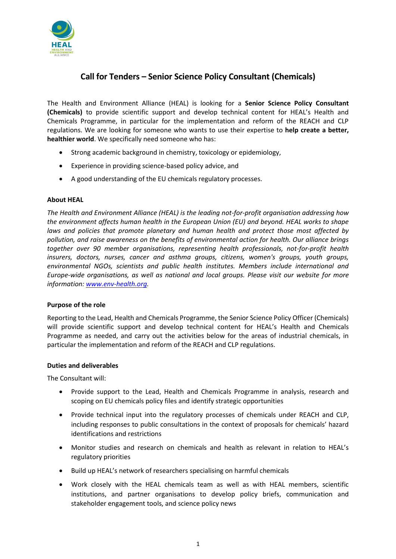

# **Call for Tenders – Senior Science Policy Consultant (Chemicals)**

The Health and Environment Alliance (HEAL) is looking for a **Senior Science Policy Consultant (Chemicals)** to provide scientific support and develop technical content for HEAL's Health and Chemicals Programme, in particular for the implementation and reform of the REACH and CLP regulations. We are looking for someone who wants to use their expertise to **help create a better, healthier world**. We specifically need someone who has:

- Strong academic background in chemistry, toxicology or epidemiology,
- Experience in providing science-based policy advice, and
- A good understanding of the EU chemicals regulatory processes.

## **About HEAL**

*The Health and Environment Alliance (HEAL) is the leading not-for-profit organisation addressing how the environment affects human health in the European Union (EU) and beyond. HEAL works to shape laws and policies that promote planetary and human health and protect those most affected by pollution, and raise awareness on the benefits of environmental action for health. Our alliance brings together over 90 member organisations, representing health professionals, not-for-profit health insurers, doctors, nurses, cancer and asthma groups, citizens, women's groups, youth groups, environmental NGOs, scientists and public health institutes. Members include international and Europe-wide organisations, as well as national and local groups. Please visit our website for more information: [www.env-health.org.](http://www.env-health.org/)*

## **Purpose of the role**

Reporting to the Lead, Health and Chemicals Programme, the Senior Science Policy Officer (Chemicals) will provide scientific support and develop technical content for HEAL's Health and Chemicals Programme as needed, and carry out the activities below for the areas of industrial chemicals, in particular the implementation and reform of the REACH and CLP regulations.

## **Duties and deliverables**

The Consultant will:

- Provide support to the Lead, Health and Chemicals Programme in analysis, research and scoping on EU chemicals policy files and identify strategic opportunities
- Provide technical input into the regulatory processes of chemicals under REACH and CLP, including responses to public consultations in the context of proposals for chemicals' hazard identifications and restrictions
- Monitor studies and research on chemicals and health as relevant in relation to HEAL's regulatory priorities
- Build up HEAL's network of researchers specialising on harmful chemicals
- Work closely with the HEAL chemicals team as well as with HEAL members, scientific institutions, and partner organisations to develop policy briefs, communication and stakeholder engagement tools, and science policy news